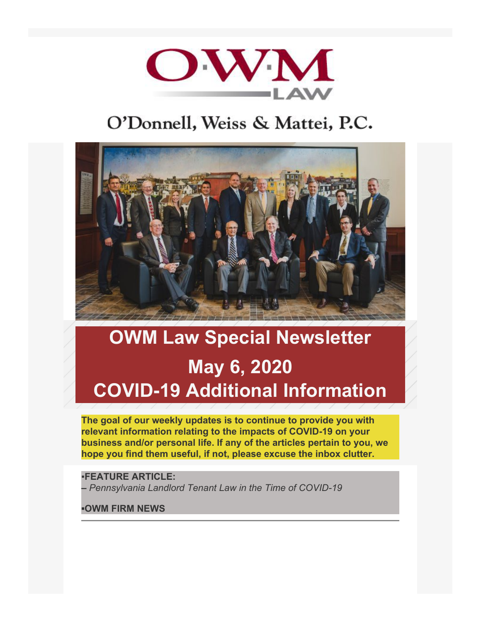

# O'Donnell, Weiss & Mattei, P.C.



# **OWM Law Special Newsletter May 6, 2020 COVID-19 Additional Information**

**The goal of our weekly updates is to continue to provide you with relevant information relating to the impacts of COVID-19 on your business and/or personal life. If any of the articles pertain to you, we hope you find them useful, if not, please excuse the inbox clutter.**

# ▪**FEATURE ARTICLE:**

**–** *Pennsylvania Landlord Tenant Law in the Time of COVID-19*

#### **▪OWM FIRM NEWS**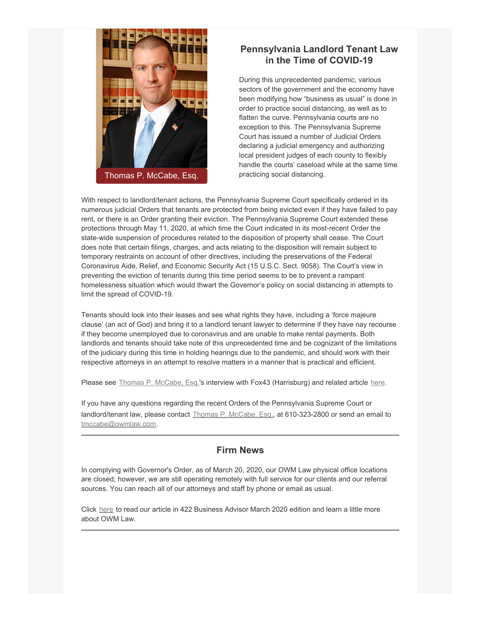

## **Pennsylvania Landlord Tenant Law in the Time of COVID-19**

During this unprecedented pandemic, various sectors of the government and the economy have been modifying how "business as usual" is done in order to practice social distancing, as well as to flatten the curve. Pennsylvania courts are no exception to this. The Pennsylvania Supreme Court has issued a number of Judicial Orders declaring a judicial emergency and authorizing local president judges of each county to flexibly handle the courts' caseload while at the same time practicing social distancing.

With respect to landlord/tenant actions, the Pennsylvania Supreme Court specifically ordered in its numerous judicial Orders that tenants are protected from being evicted even if they have failed to pay rent, or there is an Order granting their eviction. The Pennsylvania Supreme Court extended these protections through May 11, 2020, at which time the Court indicated in its most-recent Order the state-wide suspension of procedures related to the disposition of property shall cease. The Court does note that certain filings, charges, and acts relating to the disposition will remain subject to temporary restraints on account of other directives, including the preservations of the Federal Coronavirus Aide, Relief, and Economic Security Act (15 U.S.C. Sect. 9058). The Court's view in preventing the eviction of tenants during this time period seems to be to prevent a rampant homelessness situation which would thwart the Governor's policy on social distancing in attempts to limit the spread of COVID-19.

Tenants should look into their leases and see what rights they have, including a 'force majeure clause' (an act of God) and bring it to a landlord tenant lawyer to determine if they have nay recourse if they become unemployed due to coronavirus and are unable to make rental payments. Both landlords and tenants should take note of this unprecedented time and be cognizant of the limitations of the judiciary during this time in holding hearings due to the pandemic, and should work with their respective attorneys in an attempt to resolve matters in a manner that is practical and efficient.

Please see [Thomas P. McCabe, Esq.](https://www.owmlaw.com/attorney/mccabe-thomas-p/)'s interview with Fox43 (Harrisburg) and related article [here](https://www.fox43.com/article/news/health/coronavirus/colleg-students-stuck-paying-rent-for-empty-apartments/521-0f39c84e-f21c-45c9-b114-71ac96084a9d).

If you have any questions regarding the recent Orders of the Pennsylvania Supreme Court or landlord/tenant law, please contact [Thomas P. McCabe, Esq.](https://www.owmlaw.com/attorney/mccabe-thomas-p/), at 610-323-2800 or send an email to [tmccabe@owmlaw.com.](mailto:tmccabe@owmlaw.com)

#### **Firm News**

In complying with Governor's Order, as of March 20, 2020, our OWM Law physical office locations are closed; however, we are still operating remotely with full service for our clients and our referral sources. You can reach all of our attorneys and staff by phone or email as usual.

Click [here](http://www.422business.com/sites/default/files/Rt422BA_Mar2020_Pottstown.pdf?fbclid=IwAR2XyhGwR5lY3m6kHGkUehC2qSt_HfM6yjZI_FSnh_jzYHs3OXf93NeIiVg) to read our article in 422 Business Advisor March 2020 edition and learn a little more about OWM Law.